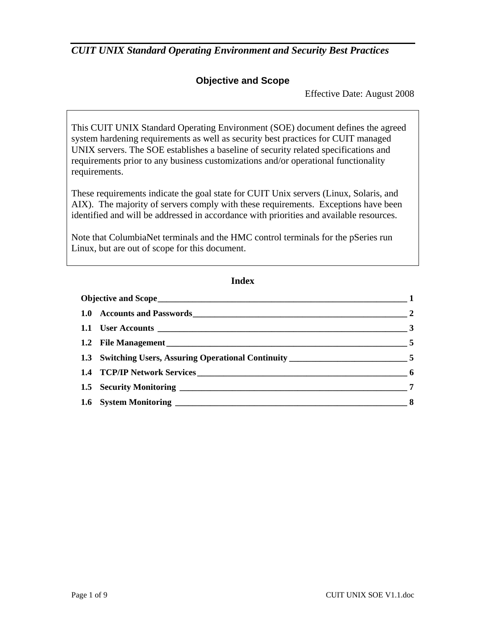### **Objective and Scope**

Effective Date: August 2008

This CUIT UNIX Standard Operating Environment (SOE) document defines the agreed system hardening requirements as well as security best practices for CUIT managed UNIX servers. The SOE establishes a baseline of security related specifications and requirements prior to any business customizations and/or operational functionality requirements.

These requirements indicate the goal state for CUIT Unix servers (Linux, Solaris, and AIX). The majority of servers comply with these requirements. Exceptions have been identified and will be addressed in accordance with priorities and available resources.

Note that ColumbiaNet terminals and the HMC control terminals for the pSeries run Linux, but are out of scope for this document.

#### **Index**

|  |                                                                                  | $\sim$ 5 |
|--|----------------------------------------------------------------------------------|----------|
|  | 1.3 Switching Users, Assuring Operational Continuity __________________________5 |          |
|  |                                                                                  |          |
|  |                                                                                  |          |
|  |                                                                                  |          |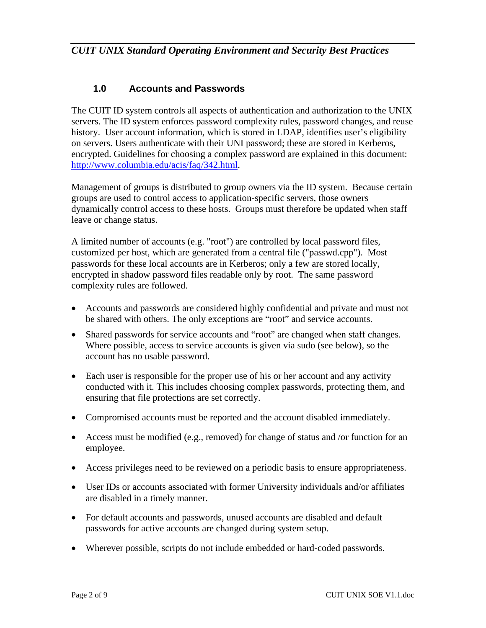### **1.0 Accounts and Passwords**

The CUIT ID system controls all aspects of authentication and authorization to the UNIX servers. The ID system enforces password complexity rules, password changes, and reuse history. User account information, which is stored in LDAP, identifies user's eligibility on servers. Users authenticate with their UNI password; these are stored in Kerberos, encrypted. Guidelines for choosing a complex password are explained in this document: http://www.columbia.edu/acis/faq/342.html.

Management of groups is distributed to group owners via the ID system. Because certain groups are used to control access to application-specific servers, those owners dynamically control access to these hosts. Groups must therefore be updated when staff leave or change status.

A limited number of accounts (e.g. "root") are controlled by local password files, customized per host, which are generated from a central file ("passwd.cpp"). Most passwords for these local accounts are in Kerberos; only a few are stored locally, encrypted in shadow password files readable only by root. The same password complexity rules are followed.

- Accounts and passwords are considered highly confidential and private and must not be shared with others. The only exceptions are "root" and service accounts.
- Shared passwords for service accounts and "root" are changed when staff changes. Where possible, access to service accounts is given via sudo (see below), so the account has no usable password.
- Each user is responsible for the proper use of his or her account and any activity conducted with it. This includes choosing complex passwords, protecting them, and ensuring that file protections are set correctly.
- Compromised accounts must be reported and the account disabled immediately.
- Access must be modified (e.g., removed) for change of status and /or function for an employee.
- Access privileges need to be reviewed on a periodic basis to ensure appropriateness.
- User IDs or accounts associated with former University individuals and/or affiliates are disabled in a timely manner.
- For default accounts and passwords, unused accounts are disabled and default passwords for active accounts are changed during system setup.
- Wherever possible, scripts do not include embedded or hard-coded passwords.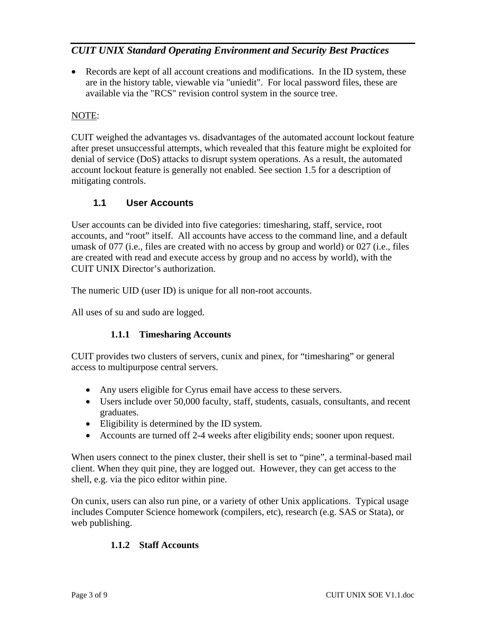• Records are kept of all account creations and modifications. In the ID system, these are in the history table, viewable via "uniedit". For local password files, these are available via the "RCS" revision control system in the source tree.

### NOTE:

CUIT weighed the advantages vs. disadvantages of the automated account lockout feature after preset unsuccessful attempts, which revealed that this feature might be exploited for denial of service (DoS) attacks to disrupt system operations. As a result, the automated account lockout feature is generally not enabled. See section 1.5 for a description of mitigating controls.

### **1.1 User Accounts**

User accounts can be divided into five categories: timesharing, staff, service, root accounts, and "root" itself. All accounts have access to the command line, and a default umask of 077 (i.e., files are created with no access by group and world) or 027 (i.e., files are created with read and execute access by group and no access by world), with the CUIT UNIX Director's authorization.

The numeric UID (user ID) is unique for all non-root accounts.

All uses of su and sudo are logged.

#### **1.1.1 Timesharing Accounts**

CUIT provides two clusters of servers, cunix and pinex, for "timesharing" or general access to multipurpose central servers.

- Any users eligible for Cyrus email have access to these servers.
- Users include over 50,000 faculty, staff, students, casuals, consultants, and recent graduates.
- Eligibility is determined by the ID system.
- Accounts are turned off 2-4 weeks after eligibility ends; sooner upon request.

When users connect to the pinex cluster, their shell is set to "pine", a terminal-based mail client. When they quit pine, they are logged out. However, they can get access to the shell, e.g. via the pico editor within pine.

On cunix, users can also run pine, or a variety of other Unix applications. Typical usage includes Computer Science homework (compilers, etc), research (e.g. SAS or Stata), or web publishing.

#### **1.1.2 Staff Accounts**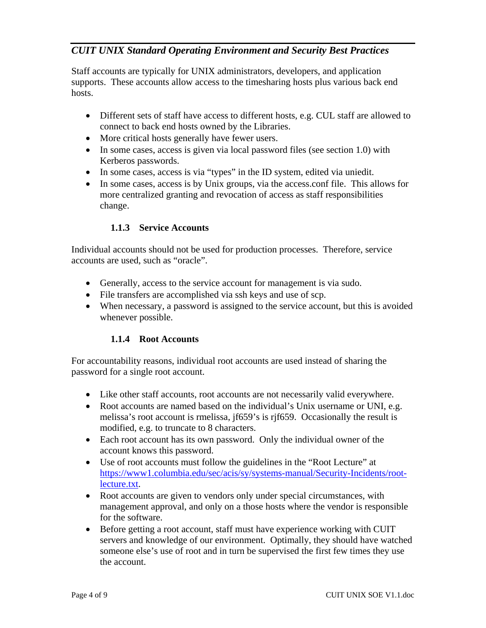Staff accounts are typically for UNIX administrators, developers, and application supports. These accounts allow access to the timesharing hosts plus various back end hosts.

- Different sets of staff have access to different hosts, e.g. CUL staff are allowed to connect to back end hosts owned by the Libraries.
- More critical hosts generally have fewer users.
- In some cases, access is given via local password files (see section 1.0) with Kerberos passwords.
- In some cases, access is via "types" in the ID system, edited via uniedit.
- In some cases, access is by Unix groups, via the access.conf file. This allows for more centralized granting and revocation of access as staff responsibilities change.

#### **1.1.3 Service Accounts**

Individual accounts should not be used for production processes. Therefore, service accounts are used, such as "oracle".

- Generally, access to the service account for management is via sudo.
- File transfers are accomplished via ssh keys and use of scp.
- When necessary, a password is assigned to the service account, but this is avoided whenever possible.

#### **1.1.4 Root Accounts**

For accountability reasons, individual root accounts are used instead of sharing the password for a single root account.

- Like other staff accounts, root accounts are not necessarily valid everywhere.
- Root accounts are named based on the individual's Unix username or UNI, e.g. melissa's root account is rmelissa, jf659's is rjf659. Occasionally the result is modified, e.g. to truncate to 8 characters.
- Each root account has its own password. Only the individual owner of the account knows this password.
- Use of root accounts must follow the guidelines in the "Root Lecture" at https://www1.columbia.edu/sec/acis/sy/systems-manual/Security-Incidents/rootlecture.txt.
- Root accounts are given to vendors only under special circumstances, with management approval, and only on a those hosts where the vendor is responsible for the software.
- Before getting a root account, staff must have experience working with CUIT servers and knowledge of our environment. Optimally, they should have watched someone else's use of root and in turn be supervised the first few times they use the account.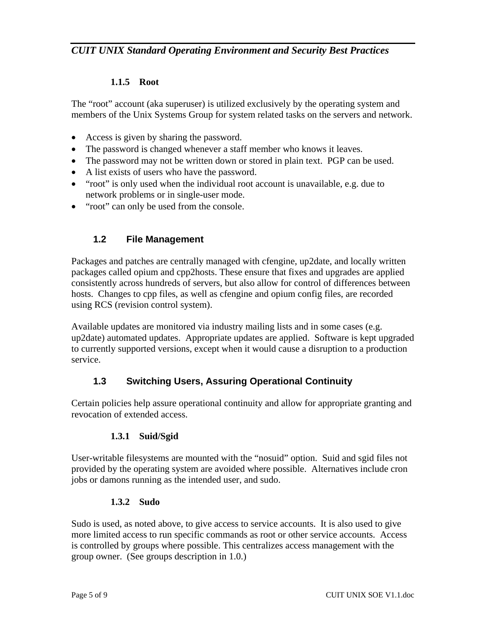#### **1.1.5 Root**

The "root" account (aka superuser) is utilized exclusively by the operating system and members of the Unix Systems Group for system related tasks on the servers and network.

- Access is given by sharing the password.
- The password is changed whenever a staff member who knows it leaves.
- The password may not be written down or stored in plain text. PGP can be used.
- A list exists of users who have the password.
- "root" is only used when the individual root account is unavailable, e.g. due to network problems or in single-user mode.
- "root" can only be used from the console.

### **1.2 File Management**

Packages and patches are centrally managed with cfengine, up2date, and locally written packages called opium and cpp2hosts. These ensure that fixes and upgrades are applied consistently across hundreds of servers, but also allow for control of differences between hosts. Changes to cpp files, as well as cfengine and opium config files, are recorded using RCS (revision control system).

Available updates are monitored via industry mailing lists and in some cases (e.g. up2date) automated updates. Appropriate updates are applied. Software is kept upgraded to currently supported versions, except when it would cause a disruption to a production service.

### **1.3 Switching Users, Assuring Operational Continuity**

Certain policies help assure operational continuity and allow for appropriate granting and revocation of extended access.

#### **1.3.1 Suid/Sgid**

User-writable filesystems are mounted with the "nosuid" option. Suid and sgid files not provided by the operating system are avoided where possible. Alternatives include cron jobs or damons running as the intended user, and sudo.

#### **1.3.2 Sudo**

Sudo is used, as noted above, to give access to service accounts. It is also used to give more limited access to run specific commands as root or other service accounts. Access is controlled by groups where possible. This centralizes access management with the group owner. (See groups description in 1.0.)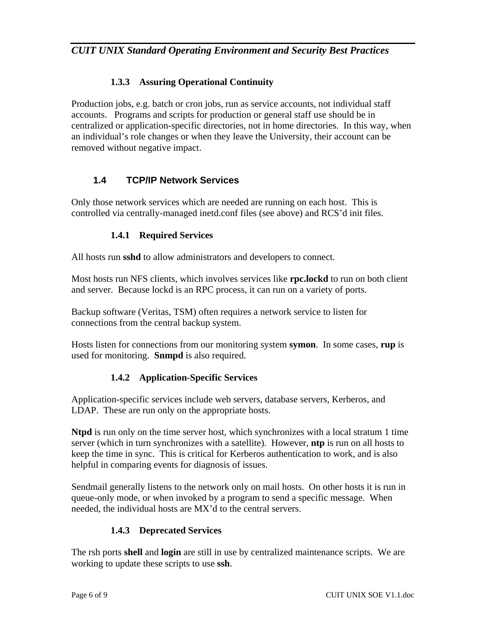### **1.3.3 Assuring Operational Continuity**

Production jobs, e.g. batch or cron jobs, run as service accounts, not individual staff accounts. Programs and scripts for production or general staff use should be in centralized or application-specific directories, not in home directories. In this way, when an individual's role changes or when they leave the University, their account can be removed without negative impact.

### **1.4 TCP/IP Network Services**

Only those network services which are needed are running on each host. This is controlled via centrally-managed inetd.conf files (see above) and RCS'd init files.

### **1.4.1 Required Services**

All hosts run **sshd** to allow administrators and developers to connect.

Most hosts run NFS clients, which involves services like **rpc.lockd** to run on both client and server. Because lockd is an RPC process, it can run on a variety of ports.

Backup software (Veritas, TSM) often requires a network service to listen for connections from the central backup system.

Hosts listen for connections from our monitoring system **symon**. In some cases, **rup** is used for monitoring. **Snmpd** is also required.

### **1.4.2 Application-Specific Services**

Application-specific services include web servers, database servers, Kerberos, and LDAP. These are run only on the appropriate hosts.

**Ntpd** is run only on the time server host, which synchronizes with a local stratum 1 time server (which in turn synchronizes with a satellite). However, **ntp** is run on all hosts to keep the time in sync. This is critical for Kerberos authentication to work, and is also helpful in comparing events for diagnosis of issues.

Sendmail generally listens to the network only on mail hosts. On other hosts it is run in queue-only mode, or when invoked by a program to send a specific message. When needed, the individual hosts are MX'd to the central servers.

#### **1.4.3 Deprecated Services**

The rsh ports **shell** and **login** are still in use by centralized maintenance scripts. We are working to update these scripts to use **ssh**.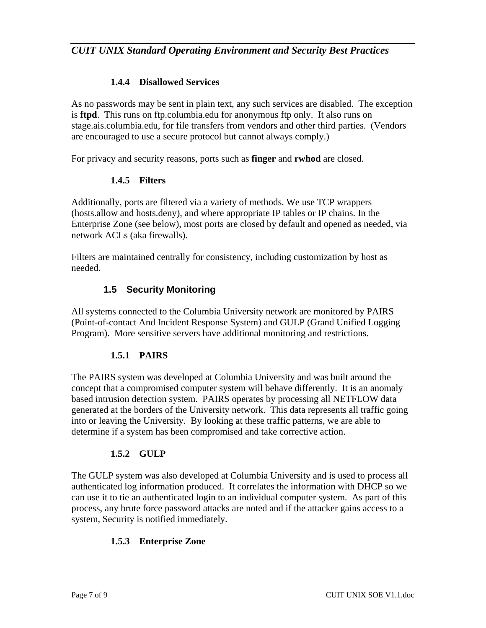### **1.4.4 Disallowed Services**

As no passwords may be sent in plain text, any such services are disabled. The exception is **ftpd**. This runs on ftp.columbia.edu for anonymous ftp only. It also runs on stage.ais.columbia.edu, for file transfers from vendors and other third parties. (Vendors are encouraged to use a secure protocol but cannot always comply.)

For privacy and security reasons, ports such as **finger** and **rwhod** are closed.

#### **1.4.5 Filters**

Additionally, ports are filtered via a variety of methods. We use TCP wrappers (hosts.allow and hosts.deny), and where appropriate IP tables or IP chains. In the Enterprise Zone (see below), most ports are closed by default and opened as needed, via network ACLs (aka firewalls).

Filters are maintained centrally for consistency, including customization by host as needed.

### **1.5 Security Monitoring**

All systems connected to the Columbia University network are monitored by PAIRS (Point-of-contact And Incident Response System) and GULP (Grand Unified Logging Program). More sensitive servers have additional monitoring and restrictions.

#### **1.5.1 PAIRS**

The PAIRS system was developed at Columbia University and was built around the concept that a compromised computer system will behave differently. It is an anomaly based intrusion detection system. PAIRS operates by processing all NETFLOW data generated at the borders of the University network. This data represents all traffic going into or leaving the University. By looking at these traffic patterns, we are able to determine if a system has been compromised and take corrective action.

#### **1.5.2 GULP**

The GULP system was also developed at Columbia University and is used to process all authenticated log information produced. It correlates the information with DHCP so we can use it to tie an authenticated login to an individual computer system. As part of this process, any brute force password attacks are noted and if the attacker gains access to a system, Security is notified immediately.

#### **1.5.3 Enterprise Zone**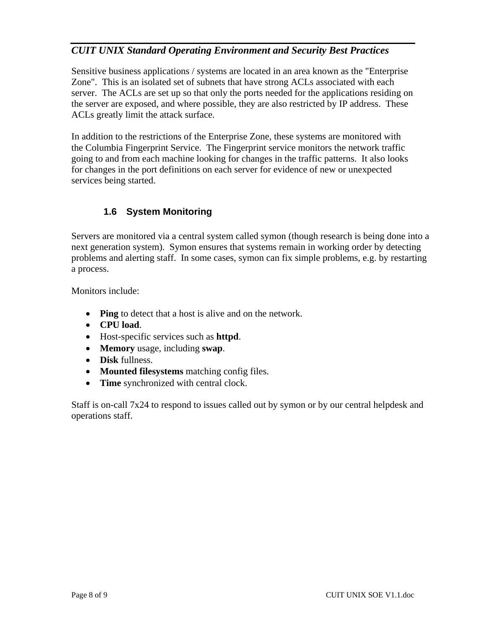Sensitive business applications / systems are located in an area known as the "Enterprise Zone". This is an isolated set of subnets that have strong ACLs associated with each server. The ACLs are set up so that only the ports needed for the applications residing on the server are exposed, and where possible, they are also restricted by IP address. These ACLs greatly limit the attack surface.

In addition to the restrictions of the Enterprise Zone, these systems are monitored with the Columbia Fingerprint Service. The Fingerprint service monitors the network traffic going to and from each machine looking for changes in the traffic patterns. It also looks for changes in the port definitions on each server for evidence of new or unexpected services being started.

### **1.6 System Monitoring**

Servers are monitored via a central system called symon (though research is being done into a next generation system). Symon ensures that systems remain in working order by detecting problems and alerting staff. In some cases, symon can fix simple problems, e.g. by restarting a process.

Monitors include:

- **Ping** to detect that a host is alive and on the network.
- **CPU load**.
- Host-specific services such as **httpd**.
- **Memory** usage, including **swap**.
- **Disk** fullness.
- **Mounted filesystems** matching config files.
- **Time** synchronized with central clock.

Staff is on-call 7x24 to respond to issues called out by symon or by our central helpdesk and operations staff.